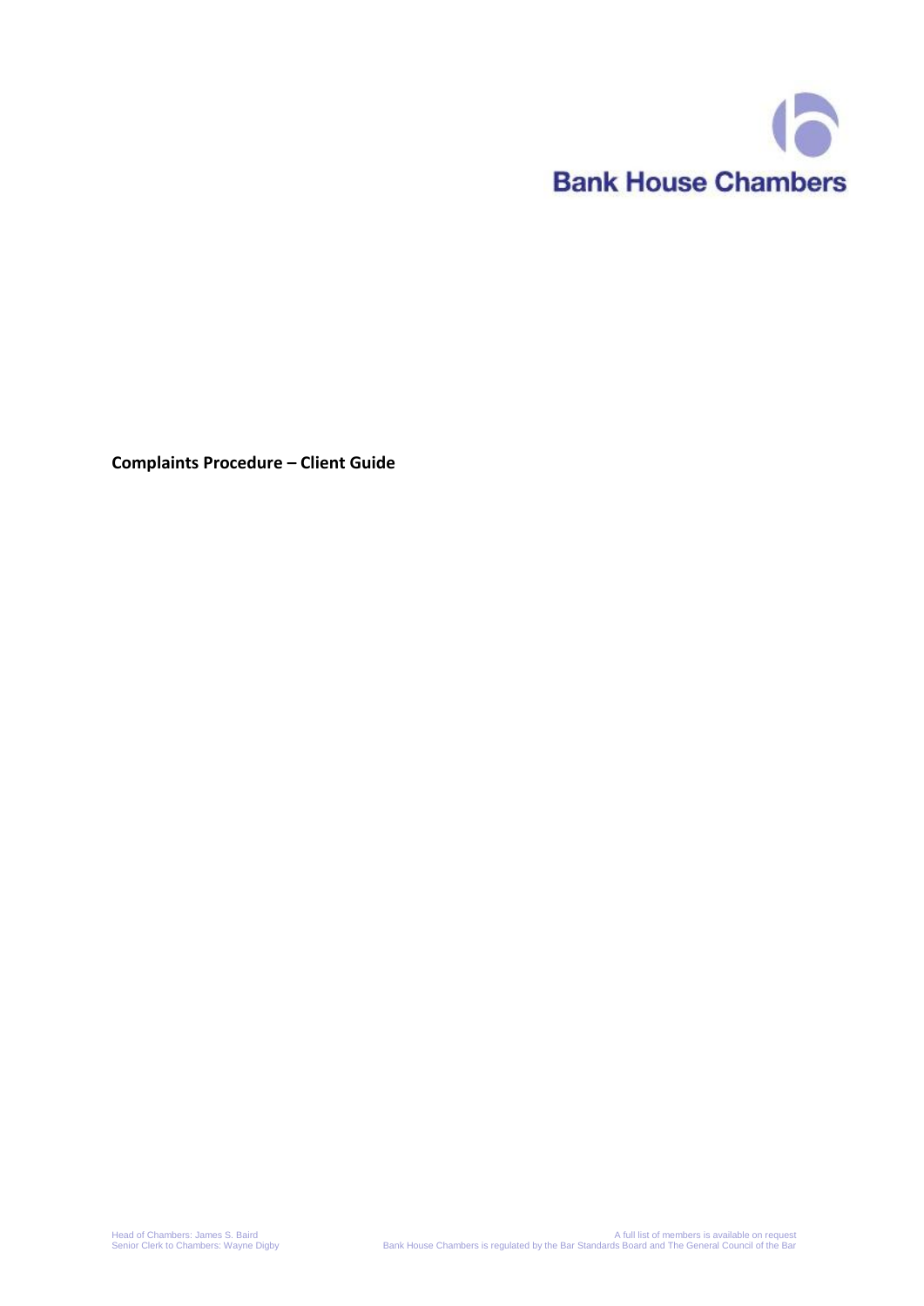

**Complaints Procedure – Client Guide**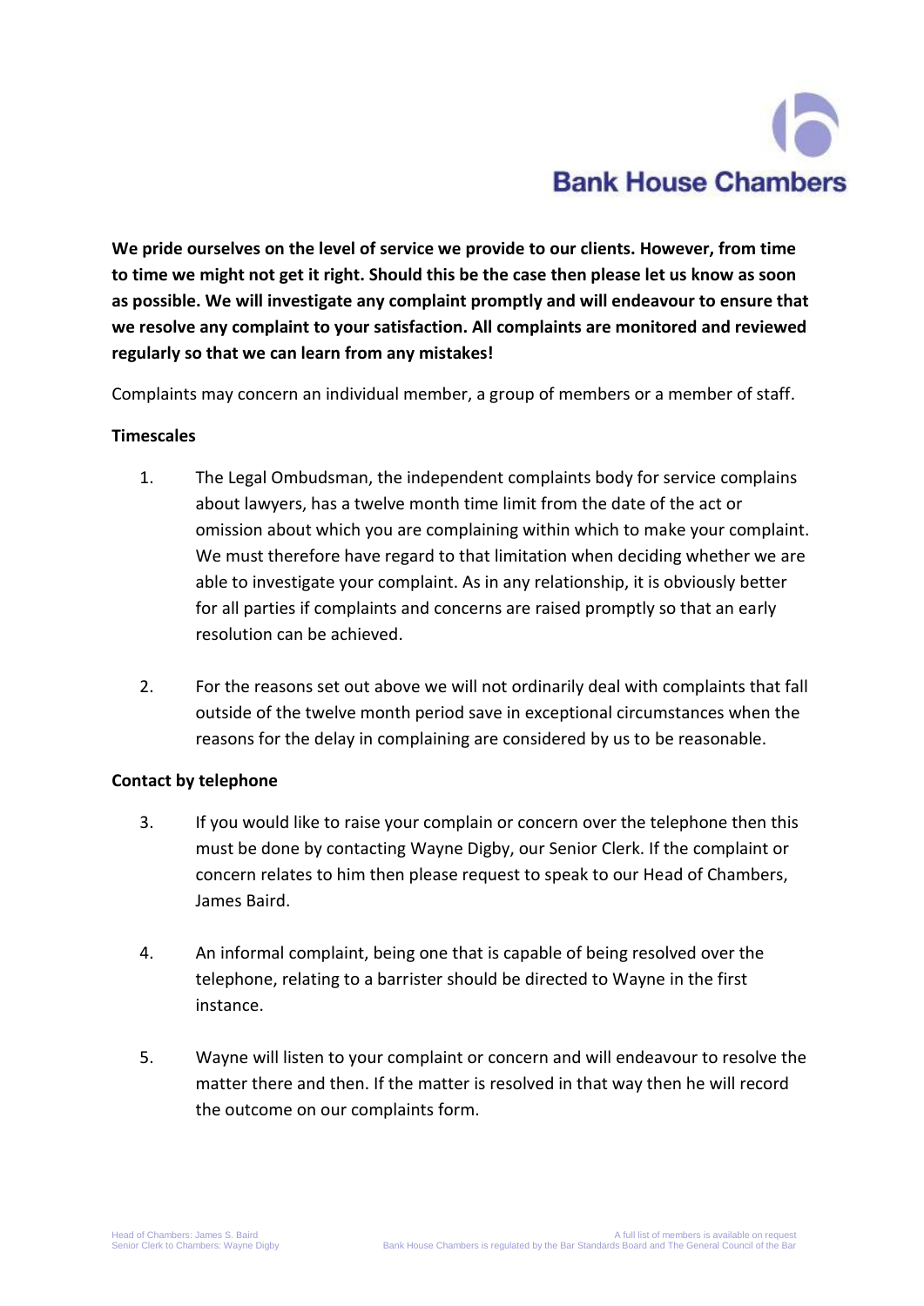# **Bank House Chambers**

**We pride ourselves on the level of service we provide to our clients. However, from time to time we might not get it right. Should this be the case then please let us know as soon as possible. We will investigate any complaint promptly and will endeavour to ensure that we resolve any complaint to your satisfaction. All complaints are monitored and reviewed regularly so that we can learn from any mistakes!**

Complaints may concern an individual member, a group of members or a member of staff.

### **Timescales**

- 1. The Legal Ombudsman, the independent complaints body for service complains about lawyers, has a twelve month time limit from the date of the act or omission about which you are complaining within which to make your complaint. We must therefore have regard to that limitation when deciding whether we are able to investigate your complaint. As in any relationship, it is obviously better for all parties if complaints and concerns are raised promptly so that an early resolution can be achieved.
- 2. For the reasons set out above we will not ordinarily deal with complaints that fall outside of the twelve month period save in exceptional circumstances when the reasons for the delay in complaining are considered by us to be reasonable.

## **Contact by telephone**

- 3. If you would like to raise your complain or concern over the telephone then this must be done by contacting Wayne Digby, our Senior Clerk. If the complaint or concern relates to him then please request to speak to our Head of Chambers, James Baird.
- 4. An informal complaint, being one that is capable of being resolved over the telephone, relating to a barrister should be directed to Wayne in the first instance.
- 5. Wayne will listen to your complaint or concern and will endeavour to resolve the matter there and then. If the matter is resolved in that way then he will record the outcome on our complaints form.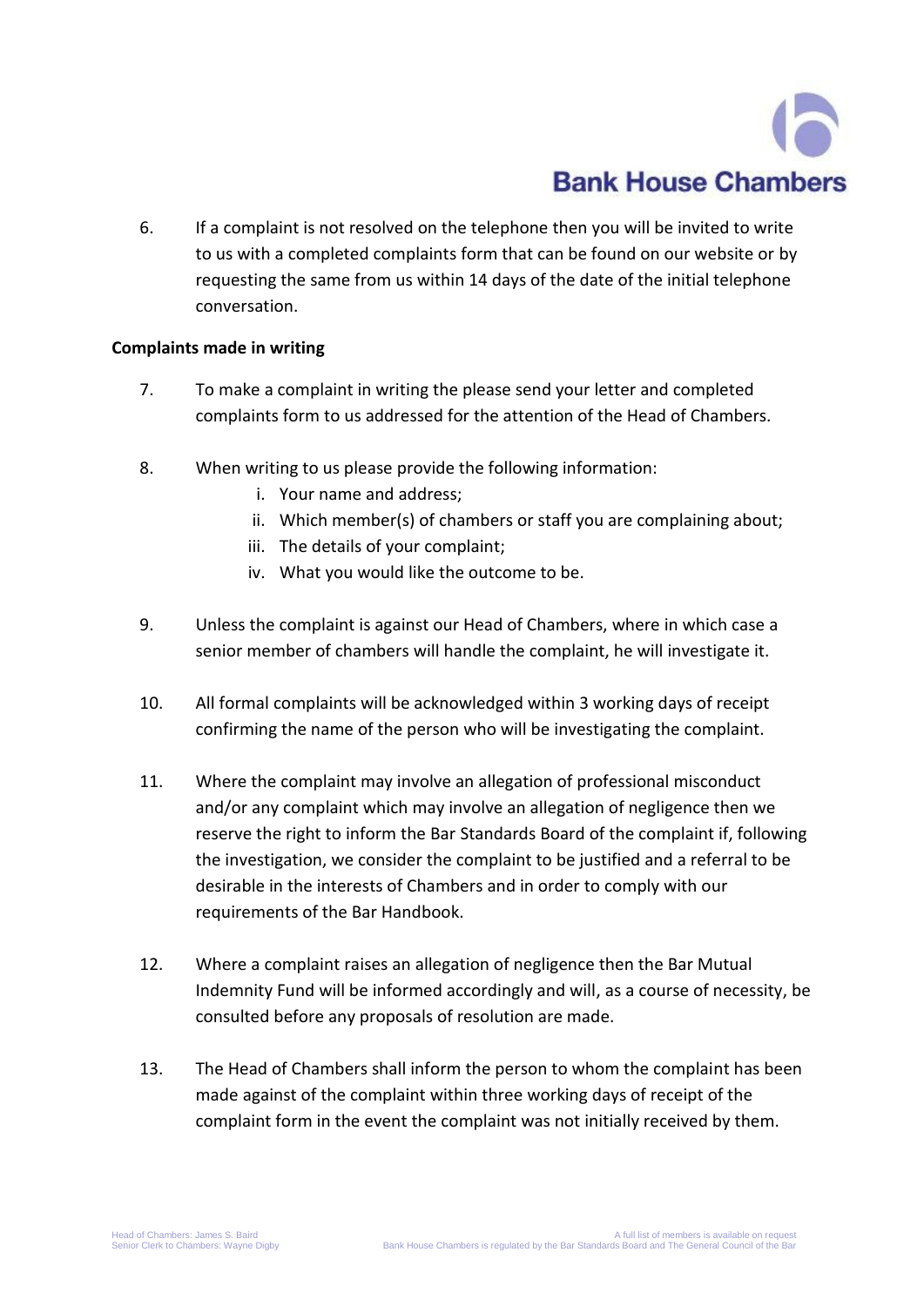6. If a complaint is not resolved on the telephone then you will be invited to write to us with a completed complaints form that can be found on our website or by requesting the same from us within 14 days of the date of the initial telephone conversation.

## **Complaints made in writing**

- 7. To make a complaint in writing the please send your letter and completed complaints form to us addressed for the attention of the Head of Chambers.
- 8. When writing to us please provide the following information:
	- i. Your name and address;
	- ii. Which member(s) of chambers or staff you are complaining about;
	- iii. The details of your complaint;
	- iv. What you would like the outcome to be.
- 9. Unless the complaint is against our Head of Chambers, where in which case a senior member of chambers will handle the complaint, he will investigate it.
- 10. All formal complaints will be acknowledged within 3 working days of receipt confirming the name of the person who will be investigating the complaint.
- 11. Where the complaint may involve an allegation of professional misconduct and/or any complaint which may involve an allegation of negligence then we reserve the right to inform the Bar Standards Board of the complaint if, following the investigation, we consider the complaint to be justified and a referral to be desirable in the interests of Chambers and in order to comply with our requirements of the Bar Handbook.
- 12. Where a complaint raises an allegation of negligence then the Bar Mutual Indemnity Fund will be informed accordingly and will, as a course of necessity, be consulted before any proposals of resolution are made.
- 13. The Head of Chambers shall inform the person to whom the complaint has been made against of the complaint within three working days of receipt of the complaint form in the event the complaint was not initially received by them.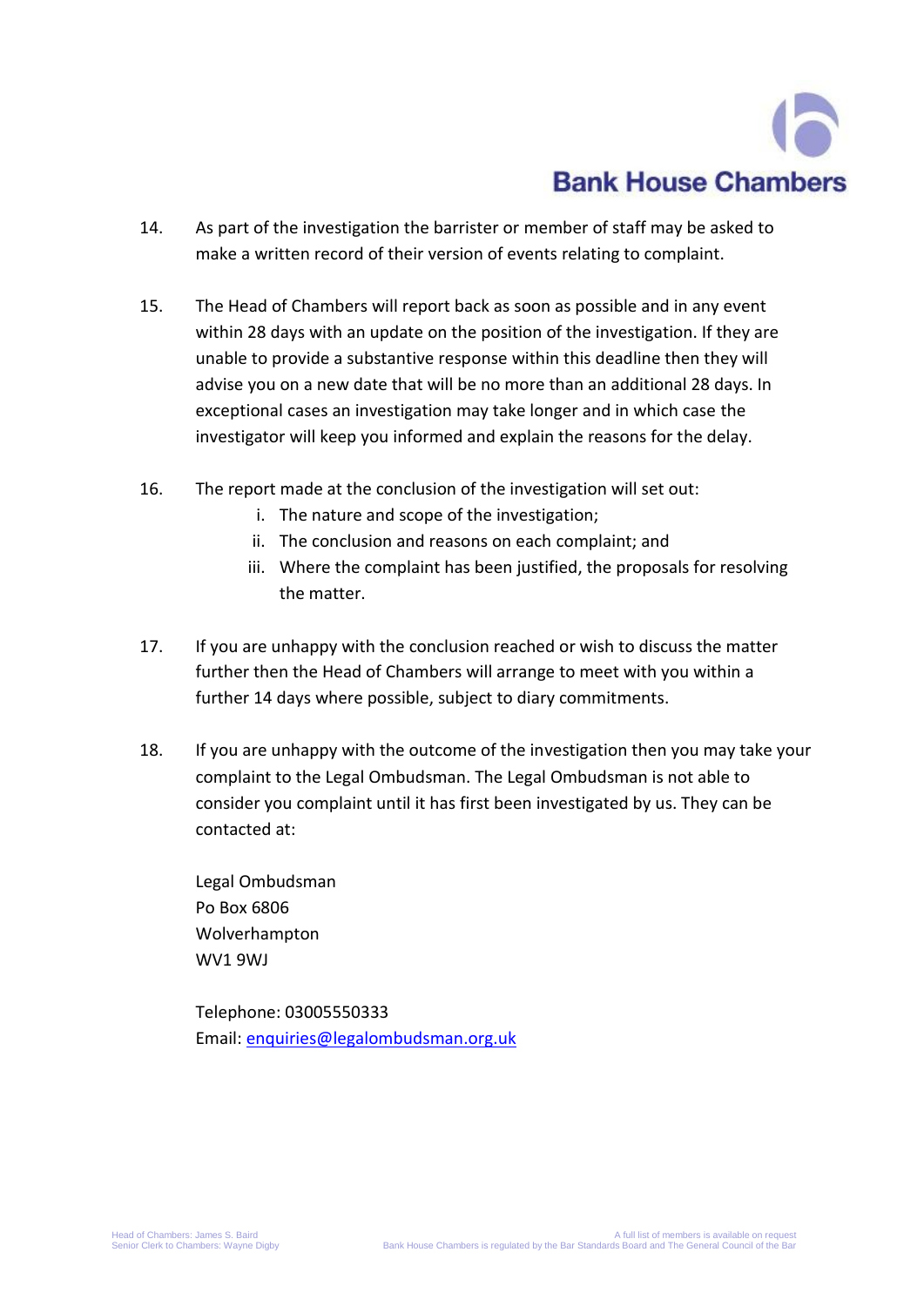## **Bank House Chambers**

- 14. As part of the investigation the barrister or member of staff may be asked to make a written record of their version of events relating to complaint.
- 15. The Head of Chambers will report back as soon as possible and in any event within 28 days with an update on the position of the investigation. If they are unable to provide a substantive response within this deadline then they will advise you on a new date that will be no more than an additional 28 days. In exceptional cases an investigation may take longer and in which case the investigator will keep you informed and explain the reasons for the delay.
- 16. The report made at the conclusion of the investigation will set out:
	- i. The nature and scope of the investigation;
	- ii. The conclusion and reasons on each complaint; and
	- iii. Where the complaint has been justified, the proposals for resolving the matter.
- 17. If you are unhappy with the conclusion reached or wish to discuss the matter further then the Head of Chambers will arrange to meet with you within a further 14 days where possible, subject to diary commitments.
- 18. If you are unhappy with the outcome of the investigation then you may take your complaint to the Legal Ombudsman. The Legal Ombudsman is not able to consider you complaint until it has first been investigated by us. They can be contacted at:

Legal Ombudsman Po Box 6806 Wolverhampton WV1 9WJ

Telephone: 03005550333 Email: [enquiries@legalombudsman.org.uk](mailto:enquiries@legalombudsman.org.uk)